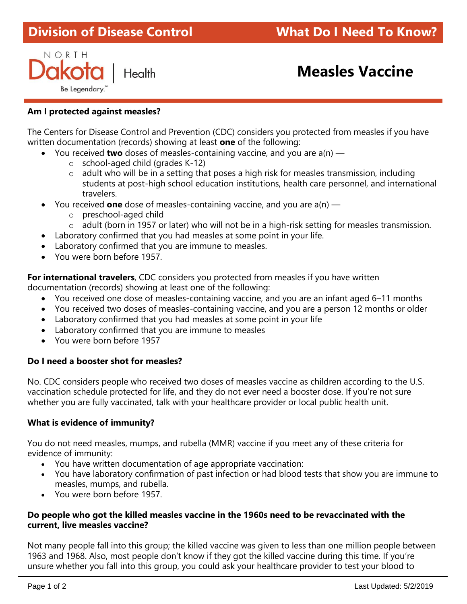# **Division of Disease Control What Do I Need To Know?**

NORTH Health Be Legendary.

# **Measles Vaccine** ٦

# **Am I protected against measles?**

The Centers for Disease Control and Prevention (CDC) considers you protected from measles if you have written documentation (records) showing at least **one** of the following:

- You received **two** doses of measles-containing vaccine, and you are a(n)
	- o school-aged child (grades K-12)
	- $\circ$  adult who will be in a setting that poses a high risk for measles transmission, including students at post-high school education institutions, health care personnel, and international travelers.
- You received **one** dose of measles-containing vaccine, and you are a(n)
	- o preschool-aged child
	- o adult (born in 1957 or later) who will not be in a high-risk setting for measles transmission.
- Laboratory confirmed that you had measles at some point in your life.
- Laboratory confirmed that you are immune to measles.
- You were born before 1957.

**For international travelers**, CDC considers you protected from measles if you have written documentation (records) showing at least one of the following:

- You received one dose of measles-containing vaccine, and you are an infant aged 6–11 months
- You received two doses of measles-containing vaccine, and you are a person 12 months or older
- Laboratory confirmed that you had measles at some point in your life
- Laboratory confirmed that you are immune to measles
- You were born before 1957

# **Do I need a booster shot for measles?**

No. CDC considers people who received two doses of measles vaccine as children according to the U.S. vaccination schedule protected for life, and they do not ever need a booster dose. If you're not sure whether you are fully vaccinated, talk with your healthcare provider or local public health unit.

# **What is evidence of immunity?**

You do not need measles, mumps, and rubella (MMR) vaccine if you meet any of these criteria for evidence of immunity:

- You have written documentation of age appropriate vaccination:
- You have laboratory confirmation of past infection or had blood tests that show you are immune to measles, mumps, and rubella.
- You were born before 1957.

#### **Do people who got the killed measles vaccine in the 1960s need to be revaccinated with the current, live measles vaccine?**

Not many people fall into this group; the killed vaccine was given to less than one million people between 1963 and 1968. Also, most people don't know if they got the killed vaccine during this time. If you're unsure whether you fall into this group, you could ask your healthcare provider to test your blood to